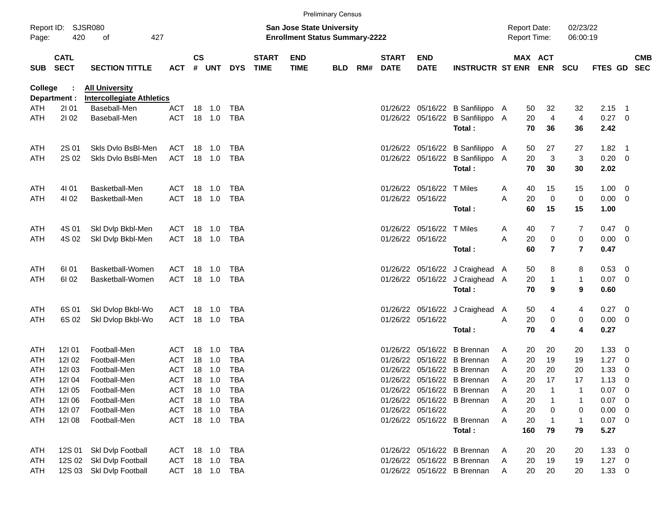|            | <b>Preliminary Census</b>  |                                                           |                |               |         |            |                             |                                                                           |            |     |                             |                           |                                  |                                            |                       |                      |             |                          |                          |
|------------|----------------------------|-----------------------------------------------------------|----------------|---------------|---------|------------|-----------------------------|---------------------------------------------------------------------------|------------|-----|-----------------------------|---------------------------|----------------------------------|--------------------------------------------|-----------------------|----------------------|-------------|--------------------------|--------------------------|
| Page:      | Report ID: SJSR080<br>420  | 427<br>of                                                 |                |               |         |            |                             | <b>San Jose State University</b><br><b>Enrollment Status Summary-2222</b> |            |     |                             |                           |                                  | <b>Report Date:</b><br><b>Report Time:</b> |                       | 02/23/22<br>06:00:19 |             |                          |                          |
| <b>SUB</b> | <b>CATL</b><br><b>SECT</b> | <b>SECTION TITTLE</b>                                     | <b>ACT</b>     | $\mathsf{cs}$ | # UNT   | <b>DYS</b> | <b>START</b><br><b>TIME</b> | <b>END</b><br><b>TIME</b>                                                 | <b>BLD</b> | RM# | <b>START</b><br><b>DATE</b> | <b>END</b><br><b>DATE</b> | <b>INSTRUCTR ST ENR</b>          |                                            | MAX ACT<br><b>ENR</b> | <b>SCU</b>           | FTES GD     |                          | <b>CMB</b><br><b>SEC</b> |
| College    | Department :               | <b>All University</b><br><b>Intercollegiate Athletics</b> |                |               |         |            |                             |                                                                           |            |     |                             |                           |                                  |                                            |                       |                      |             |                          |                          |
| ATH        | 2101                       | Baseball-Men                                              | <b>ACT</b>     |               | 18 1.0  | TBA        |                             |                                                                           |            |     |                             |                           | 01/26/22 05/16/22 B Sanfilippo A |                                            | 32<br>50              | 32                   | 2.15        | $\overline{\phantom{1}}$ |                          |
| ATH        | 2102                       | Baseball-Men                                              | <b>ACT</b>     |               | 18 1.0  | TBA        |                             |                                                                           |            |     |                             |                           | 01/26/22 05/16/22 B Sanfilippo A |                                            | $\overline{4}$<br>20  | $\overline{4}$       | 0.27        | - 0                      |                          |
|            |                            |                                                           |                |               |         |            |                             |                                                                           |            |     |                             |                           | Total:                           |                                            | 70<br>36              | 36                   | 2.42        |                          |                          |
| ATH        | 2S 01                      | Skls Dvlo BsBI-Men                                        | ACT            |               | 18 1.0  | TBA        |                             |                                                                           |            |     |                             |                           | 01/26/22 05/16/22 B Sanfilippo A |                                            | 50<br>27              | 27                   | 1.82        | $\overline{\phantom{1}}$ |                          |
| ATH        | 2S 02                      | Skls Dvlo BsBI-Men                                        | ACT            |               | 18 1.0  | <b>TBA</b> |                             |                                                                           |            |     |                             |                           | 01/26/22 05/16/22 B Sanfilippo A |                                            | $\mathbf{3}$<br>20    | 3                    | 0.20        | $\overline{\mathbf{0}}$  |                          |
|            |                            |                                                           |                |               |         |            |                             |                                                                           |            |     |                             |                           | Total:                           |                                            | 70<br>30              | 30                   | 2.02        |                          |                          |
| ATH        | 4101                       | Basketball-Men                                            | ACT            |               | 18 1.0  | <b>TBA</b> |                             |                                                                           |            |     |                             | 01/26/22 05/16/22 T Miles |                                  | A                                          | 40<br>15              | 15                   | 1.00        | $\overline{\mathbf{0}}$  |                          |
| ATH        | 4102                       | Basketball-Men                                            | <b>ACT</b>     |               | 18 1.0  | <b>TBA</b> |                             |                                                                           |            |     |                             | 01/26/22 05/16/22         |                                  | Α                                          | $\mathbf 0$<br>20     | $\pmb{0}$            | 0.00        | 0                        |                          |
|            |                            |                                                           |                |               |         |            |                             |                                                                           |            |     |                             |                           | Total:                           |                                            | 60<br>15              | 15                   | 1.00        |                          |                          |
| ATH        | 4S 01                      | Skl Dvlp Bkbl-Men                                         | ACT            | 18            | 1.0     | <b>TBA</b> |                             |                                                                           |            |     |                             | 01/26/22 05/16/22 T Miles |                                  | A                                          | 40<br>7               | 7                    | 0.47        | - 0                      |                          |
| ATH        | 4S 02                      | Skl Dvlp Bkbl-Men                                         | <b>ACT</b>     |               | 18 1.0  | TBA        |                             |                                                                           |            |     |                             | 01/26/22 05/16/22         |                                  | Α                                          | $\pmb{0}$<br>20       | $\pmb{0}$            | 0.00        | 0                        |                          |
|            |                            |                                                           |                |               |         |            |                             |                                                                           |            |     |                             |                           | Total:                           |                                            | 60<br>7               | $\overline{7}$       | 0.47        |                          |                          |
| ATH        | 61 01                      | Basketball-Women                                          | ACT            | 18            | 1.0     | TBA        |                             |                                                                           |            |     |                             |                           | 01/26/22 05/16/22 J Craighead A  |                                            | 50<br>8               | 8                    | 0.53        | $\overline{\mathbf{0}}$  |                          |
| ATH        | 61 02                      | Basketball-Women                                          | <b>ACT</b>     |               | 18 1.0  | <b>TBA</b> |                             |                                                                           |            |     |                             |                           | 01/26/22 05/16/22 J Craighead A  |                                            | 20<br>1               | 1                    | 0.07        | 0                        |                          |
|            |                            |                                                           |                |               |         |            |                             |                                                                           |            |     |                             |                           | Total:                           |                                            | 70<br>9               | 9                    | 0.60        |                          |                          |
| ATH        | 6S 01                      | Skl Dvlop Bkbl-Wo                                         | ACT            | 18            | 1.0     | <b>TBA</b> |                             |                                                                           |            |     |                             |                           | 01/26/22 05/16/22 J Craighead A  |                                            | 50<br>4               | 4                    | 0.27        | - 0                      |                          |
| ATH        | 6S 02                      | Skl Dvlop Bkbl-Wo                                         | <b>ACT</b>     |               | 18  1.0 | <b>TBA</b> |                             |                                                                           |            |     |                             | 01/26/22 05/16/22         |                                  | Α                                          | 20<br>$\pmb{0}$       | 0                    | 0.00        | 0                        |                          |
|            |                            |                                                           |                |               |         |            |                             |                                                                           |            |     |                             |                           | Total:                           |                                            | 70<br>4               | 4                    | 0.27        |                          |                          |
| ATH        | 121 01                     | Football-Men                                              | ACT            | 18            | $-1.0$  | <b>TBA</b> |                             |                                                                           |            |     | 01/26/22                    |                           | 05/16/22 B Brennan               | A                                          | 20<br>20              | 20                   | 1.33        | 0                        |                          |
| ATH        | 121 02                     | Football-Men                                              | <b>ACT</b>     | 18            | $-1.0$  | <b>TBA</b> |                             |                                                                           |            |     | 01/26/22                    |                           | 05/16/22 B Brennan               | A                                          | 20<br>19              | 19                   | 1.27        | 0                        |                          |
| ATH        | 12103                      | Football-Men                                              | <b>ACT</b>     | 18            | 1.0     | <b>TBA</b> |                             |                                                                           |            |     |                             |                           | 01/26/22 05/16/22 B Brennan      | A                                          | 20<br>20              | 20                   | 1.33        | 0                        |                          |
| ATH        | 12104                      | Football-Men                                              | <b>ACT</b>     |               | 18 1.0  | <b>TBA</b> |                             |                                                                           |            |     |                             |                           | 01/26/22 05/16/22 B Brennan      | A                                          | 20<br>17              | 17                   | 1.13        | 0                        |                          |
| <b>ATH</b> | 121 05                     | Football-Men                                              | <b>ACT</b>     |               | 18  1.0 | TBA        |                             |                                                                           |            |     |                             |                           | 01/26/22 05/16/22 B Brennan      | A                                          | 20                    |                      | 0.07        | 0                        |                          |
| ATH        | 121 06                     | Football-Men                                              | ACT            |               | 18 1.0  | TBA        |                             |                                                                           |            |     |                             |                           | 01/26/22 05/16/22 B Brennan      | Α                                          | 20<br>1               |                      | 0.07        | - 0                      |                          |
| ATH        | 12107                      | Football-Men                                              | ACT            |               | 18 1.0  | TBA        |                             |                                                                           |            |     |                             | 01/26/22 05/16/22         |                                  | A                                          | 20<br>0               | 0                    | 0.00        | - 0                      |                          |
| ATH        | 12108                      | Football-Men                                              | ACT 18 1.0 TBA |               |         |            |                             |                                                                           |            |     |                             |                           | 01/26/22 05/16/22 B Brennan      | A                                          | 20<br>$\mathbf{1}$    | 1                    | 0.07        | - 0                      |                          |
|            |                            |                                                           |                |               |         |            |                             |                                                                           |            |     |                             |                           | Total:                           | 160                                        | 79                    | 79                   | 5.27        |                          |                          |
| ATH        | 12S 01                     | Skl Dvlp Football                                         | ACT 18 1.0 TBA |               |         |            |                             |                                                                           |            |     |                             |                           | 01/26/22 05/16/22 B Brennan      | A                                          | 20<br>20              | 20                   | $1.33 \ 0$  |                          |                          |
| ATH        | 12S 02                     | Skl Dvlp Football                                         | ACT 18 1.0     |               |         | TBA        |                             |                                                                           |            |     |                             |                           | 01/26/22 05/16/22 B Brennan      | A                                          | 20<br>19              | 19                   | $1.27 \t 0$ |                          |                          |
| ATH        |                            | 12S 03 Skl Dvlp Football                                  | ACT 18 1.0 TBA |               |         |            |                             |                                                                           |            |     |                             |                           | 01/26/22 05/16/22 B Brennan      | A                                          | 20<br>20              | 20                   | $1.33 \t 0$ |                          |                          |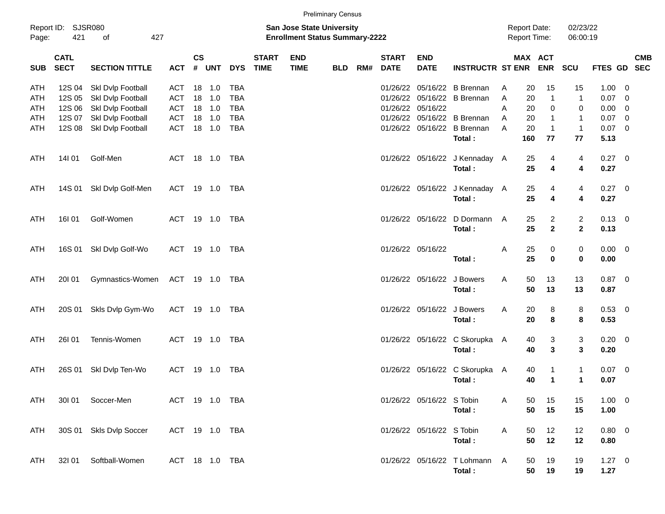|                                 | <b>Preliminary Census</b><br>Report ID:<br>SJSR080<br><b>San Jose State University</b><br>421<br>427<br><b>Enrollment Status Summary-2222</b><br>Page:<br>of |                                                                                                       |                                               |                      |                                    |                                                                    |                             |                           |            |     |                                                          |                           | <b>Report Date:</b><br><b>Report Time:</b>                                           |                       |                            | 02/23/22<br>06:00:19          |                                                        |                                                        |                                           |                          |
|---------------------------------|--------------------------------------------------------------------------------------------------------------------------------------------------------------|-------------------------------------------------------------------------------------------------------|-----------------------------------------------|----------------------|------------------------------------|--------------------------------------------------------------------|-----------------------------|---------------------------|------------|-----|----------------------------------------------------------|---------------------------|--------------------------------------------------------------------------------------|-----------------------|----------------------------|-------------------------------|--------------------------------------------------------|--------------------------------------------------------|-------------------------------------------|--------------------------|
| <b>SUB</b>                      | <b>CATL</b><br><b>SECT</b>                                                                                                                                   | <b>SECTION TITTLE</b>                                                                                 | <b>ACT</b>                                    | <b>CS</b><br>#       | <b>UNT</b>                         | <b>DYS</b>                                                         | <b>START</b><br><b>TIME</b> | <b>END</b><br><b>TIME</b> | <b>BLD</b> | RM# | <b>START</b><br><b>DATE</b>                              | <b>END</b><br><b>DATE</b> | <b>INSTRUCTR ST ENR</b>                                                              |                       | <b>MAX ACT</b>             | <b>ENR</b>                    | <b>SCU</b>                                             | <b>FTES GD</b>                                         |                                           | <b>CMB</b><br><b>SEC</b> |
| ATH<br>ATH<br>ATH<br>ATH<br>ATH | 12S 04<br>12S 05<br>12S 06<br>12S 07<br>12S 08                                                                                                               | Skl Dvlp Football<br>Skl Dvlp Football<br>Skl Dvlp Football<br>Skl Dvlp Football<br>Skl Dvlp Football | ACT<br>ACT<br>ACT<br><b>ACT</b><br><b>ACT</b> | 18<br>18<br>18<br>18 | 1.0<br>1.0<br>1.0<br>18 1.0<br>1.0 | <b>TBA</b><br><b>TBA</b><br><b>TBA</b><br><b>TBA</b><br><b>TBA</b> |                             |                           |            |     | 01/26/22<br>01/26/22<br>01/26/22<br>01/26/22<br>01/26/22 | 05/16/22                  | 05/16/22 B Brennan<br>05/16/22 B Brennan<br>05/16/22 B Brennan<br>05/16/22 B Brennan | A<br>A<br>A<br>A<br>A | 20<br>20<br>20<br>20<br>20 | 15<br>0<br>-1                 | 15<br>$\mathbf 1$<br>0<br>$\mathbf{1}$<br>$\mathbf{1}$ | $1.00 \t 0$<br>0.07<br>$0.00 \t 0$<br>0.07<br>$0.07$ 0 | $\overline{\mathbf{0}}$<br>$\overline{0}$ |                          |
| ATH                             | 14101                                                                                                                                                        | Golf-Men                                                                                              | ACT                                           |                      | 18  1.0                            | TBA                                                                |                             |                           |            |     |                                                          |                           | Total:<br>01/26/22 05/16/22 J Kennaday A<br>Total:                                   |                       | 160<br>25<br>25            | 77<br>4<br>4                  | 77<br>4<br>4                                           | 5.13<br>0.27 0<br>0.27                                 |                                           |                          |
| <b>ATH</b><br>ATH               | 14S 01<br>16101                                                                                                                                              | Skl Dvlp Golf-Men<br>Golf-Women                                                                       | ACT<br>ACT                                    |                      | 19  1.0  TBA                       | TBA                                                                |                             |                           |            |     |                                                          | 01/26/22 05/16/22         | 01/26/22 05/16/22 J Kennaday A<br>Total:<br>D Dormann<br>Total:                      | A                     | 25<br>25<br>25<br>25       | 4<br>4<br>2<br>$\overline{2}$ | 4<br>4<br>$\overline{2}$<br>$\overline{2}$             | 0.27 0<br>0.27<br>$0.13 \quad 0$<br>0.13               |                                           |                          |
| ATH                             | 16S 01                                                                                                                                                       | Skl Dvlp Golf-Wo                                                                                      | ACT                                           |                      | 19  1.0  TBA                       |                                                                    |                             |                           |            |     |                                                          | 01/26/22 05/16/22         | Total:                                                                               | A                     | 25<br>25                   | 0<br>$\bf{0}$                 | 0<br>0                                                 | $0.00 \t 0$<br>0.00                                    |                                           |                          |
| ATH                             | 20101                                                                                                                                                        | Gymnastics-Women                                                                                      | ACT                                           |                      | 19 1.0 TBA                         |                                                                    |                             |                           |            |     |                                                          | 01/26/22 05/16/22         | J Bowers<br>Total:                                                                   | A                     | 50<br>50                   | 13<br>13                      | 13<br>13                                               | $0.87$ 0<br>0.87                                       |                                           |                          |
| ATH                             | 20S 01                                                                                                                                                       | Skls Dvlp Gym-Wo                                                                                      | <b>ACT</b>                                    |                      | 19 1.0                             | <b>TBA</b>                                                         |                             |                           |            |     |                                                          | 01/26/22 05/16/22         | J Bowers<br>Total:                                                                   | A                     | 20<br>20                   | 8<br>8                        | 8<br>8                                                 | 0.53 0<br>0.53                                         |                                           |                          |

**Total : 40 3 3 0.20**

**Total : 40 1 1 0.07**

**Total : 50 15 15 1.00**

**Total : 50 12 12 0.80**

**Total : 50 19 19 1.27**

ATH 26I 01 Tennis-Women ACT 19 1.0 TBA 01/26/22 05/16/22 C Skorupka A 40 3 3 0.20 0

ATH 26S 01 Skl Dvlp Ten-Wo ACT 19 1.0 TBA 01/26/22 05/16/22 05/16/22 C Skorupka A 40 1 1 0.07 0

ATH 30I 01 Soccer-Men ACT 19 1.0 TBA 01/26/22 05/16/22 S Tobin A 50 15 15 1.00 0

ATH 30S 01 Skls Dvlp Soccer ACT 19 1.0 TBA 01/26/22 05/16/22 05/16/22 S Tobin A 50 12 12 0.80 0

ATH 32I 01 Softball-Women ACT 18 1.0 TBA 01/26/22 05/16/22 05/16/22 T Lohmann A 50 19 19 1.27 0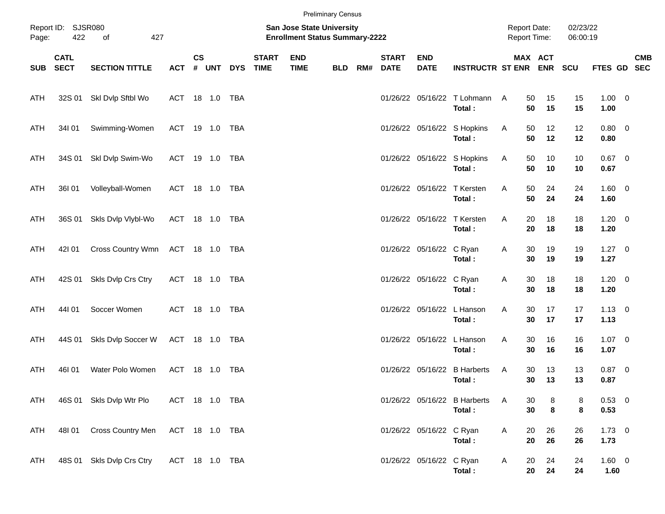|            |                            |                                  |                |           |        |            |                                                                           |                           | <b>Preliminary Census</b> |     |                             |                            |                                         |              |                      |          |                     |  |            |
|------------|----------------------------|----------------------------------|----------------|-----------|--------|------------|---------------------------------------------------------------------------|---------------------------|---------------------------|-----|-----------------------------|----------------------------|-----------------------------------------|--------------|----------------------|----------|---------------------|--|------------|
| Page:      | Report ID: SJSR080<br>422  | 427                              |                |           |        |            | <b>San Jose State University</b><br><b>Enrollment Status Summary-2222</b> |                           |                           |     |                             |                            | <b>Report Date:</b>                     | Report Time: | 02/23/22<br>06:00:19 |          |                     |  |            |
| <b>SUB</b> | <b>CATL</b><br><b>SECT</b> | <b>SECTION TITTLE</b>            | ACT # UNT      | <b>CS</b> |        | <b>DYS</b> | <b>START</b><br><b>TIME</b>                                               | <b>END</b><br><b>TIME</b> | <b>BLD</b>                | RM# | <b>START</b><br><b>DATE</b> | <b>END</b><br><b>DATE</b>  | <b>INSTRUCTR ST ENR ENR</b>             |              | MAX ACT              | SCU      | FTES GD SEC         |  | <b>CMB</b> |
| ATH        |                            | 32S 01 SkI Dvlp Sftbl Wo         | ACT 18 1.0     |           |        | TBA        |                                                                           |                           |                           |     |                             |                            | 01/26/22 05/16/22 T Lohmann A<br>Total: |              | 15<br>50<br>50<br>15 | 15<br>15 | $1.00 \t 0$<br>1.00 |  |            |
| ATH        | 34101                      | Swimming-Women                   | ACT 19 1.0 TBA |           |        |            |                                                                           |                           |                           |     |                             |                            | 01/26/22 05/16/22 S Hopkins<br>Total:   | A            | 50<br>12<br>50<br>12 | 12<br>12 | $0.80 \ 0$<br>0.80  |  |            |
| ATH        |                            | 34S 01 Skl Dvlp Swim-Wo          | ACT 19 1.0     |           |        | TBA        |                                                                           |                           |                           |     |                             |                            | 01/26/22 05/16/22 S Hopkins<br>Total:   | A            | 50<br>10<br>50<br>10 | 10<br>10 | $0.67$ 0<br>0.67    |  |            |
| ATH        | 36I 01                     | Volleyball-Women                 | ACT 18 1.0 TBA |           |        |            |                                                                           |                           |                           |     |                             |                            | 01/26/22 05/16/22 T Kersten<br>Total:   | A            | 24<br>50<br>50<br>24 | 24<br>24 | 1.60 0<br>1.60      |  |            |
| ATH        |                            | 36S 01 Skls Dvlp Vlybl-Wo        | ACT 18 1.0 TBA |           |        |            |                                                                           |                           |                           |     |                             |                            | 01/26/22 05/16/22 T Kersten<br>Total:   | A            | 20<br>18<br>20<br>18 | 18<br>18 | $1.20 \t 0$<br>1.20 |  |            |
| ATH        | 421 01                     | Cross Country Wmn ACT 18 1.0 TBA |                |           |        |            |                                                                           |                           |                           |     |                             | 01/26/22 05/16/22 C Ryan   | Total:                                  | A            | 30<br>19<br>30<br>19 | 19<br>19 | $1.27 \t 0$<br>1.27 |  |            |
| ATH        | 42S 01                     | Skls Dvlp Crs Ctry               | ACT 18 1.0     |           |        | TBA        |                                                                           |                           |                           |     |                             | 01/26/22 05/16/22 C Ryan   | Total:                                  | A            | 30<br>18<br>30<br>18 | 18<br>18 | $1.20 \t 0$<br>1.20 |  |            |
| ATH        | 44101                      | Soccer Women                     | ACT 18 1.0     |           |        | TBA        |                                                                           |                           |                           |     |                             | 01/26/22 05/16/22 L Hanson | Total:                                  | Α            | 30<br>17<br>30<br>17 | 17<br>17 | $1.13 \ 0$<br>1.13  |  |            |
| ATH        | 44S 01                     | Skls Dvlp Soccer W               | ACT 18 1.0 TBA |           |        |            |                                                                           |                           |                           |     |                             | 01/26/22 05/16/22 L Hanson | Total:                                  | Α            | 30<br>16<br>30<br>16 | 16<br>16 | $1.07 \t 0$<br>1.07 |  |            |
| ATH        | 46101                      | Water Polo Women                 | ACT            |           | 18 1.0 | TBA        |                                                                           |                           |                           |     |                             | 01/26/22 05/16/22          | <b>B</b> Harberts<br>Total:             | Α            | 13<br>30<br>13<br>30 | 13<br>13 | $0.87$ 0<br>0.87    |  |            |
| <b>ATH</b> |                            | 46S 01 Skls Dvlp Wtr Plo         | ACT 18 1.0 TBA |           |        |            |                                                                           |                           |                           |     |                             |                            | 01/26/22 05/16/22 B Harberts<br>Total:  | Α            | 8<br>30<br>8<br>30   | 8<br>8   | 0.53 0<br>0.53      |  |            |
| <b>ATH</b> | 48101                      | Cross Country Men                | ACT 18 1.0 TBA |           |        |            |                                                                           |                           |                           |     |                             | 01/26/22 05/16/22 C Ryan   | Total:                                  | A            | 20<br>26<br>20<br>26 | 26<br>26 | $1.73 \t 0$<br>1.73 |  |            |
| <b>ATH</b> |                            | 48S 01 Skls Dvlp Crs Ctry        | ACT 18 1.0 TBA |           |        |            |                                                                           |                           |                           |     |                             | 01/26/22 05/16/22 C Ryan   | Total:                                  | A            | 24<br>20<br>20<br>24 | 24<br>24 | 1.60 0<br>1.60      |  |            |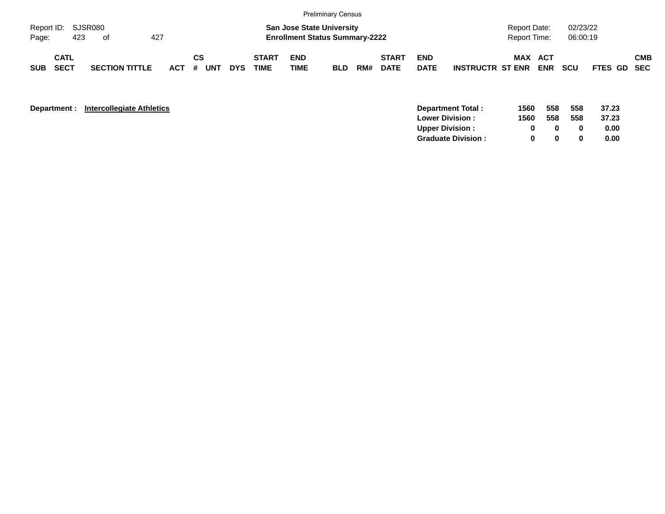|            |                     |     |                                 |  |  |         |    |     |            |                                                                           |                           | <b>Preliminary Census</b> |     |                             |                           |                         |                                                             |            |            |             |  |            |  |
|------------|---------------------|-----|---------------------------------|--|--|---------|----|-----|------------|---------------------------------------------------------------------------|---------------------------|---------------------------|-----|-----------------------------|---------------------------|-------------------------|-------------------------------------------------------------|------------|------------|-------------|--|------------|--|
| Page:      |                     | 423 | Report ID: SJSR080<br>427<br>of |  |  |         |    |     |            | <b>San Jose State University</b><br><b>Enrollment Status Summary-2222</b> |                           |                           |     |                             |                           |                         | 02/23/22<br><b>Report Date:</b><br>06:00:19<br>Report Time: |            |            |             |  |            |  |
| <b>SUB</b> | <b>CATL</b><br>SECT |     | <b>SECTION TITTLE</b>           |  |  | $ACT$ # | СS | UNT | <b>DYS</b> | <b>START</b><br>TIME                                                      | <b>END</b><br><b>TIME</b> | <b>BLD</b>                | RM# | <b>START</b><br><b>DATE</b> | <b>END</b><br><b>DATE</b> | <b>INSTRUCTR ST ENR</b> | <b>MAX ACT</b>                                              | <b>ENR</b> | <b>SCU</b> | FTES GD SEC |  | <b>CMB</b> |  |

| Department : | <b>Intercollegiate Athletics</b> | Department Total:         | 1560 | 558 | 558 | 37.23 |
|--------------|----------------------------------|---------------------------|------|-----|-----|-------|
|              |                                  | <b>Lower Division:</b>    | 1560 | 558 | 558 | 37.23 |
|              |                                  | <b>Upper Division:</b>    |      |     |     | 0.00  |
|              |                                  | <b>Graduate Division:</b> |      |     |     | 0.00  |